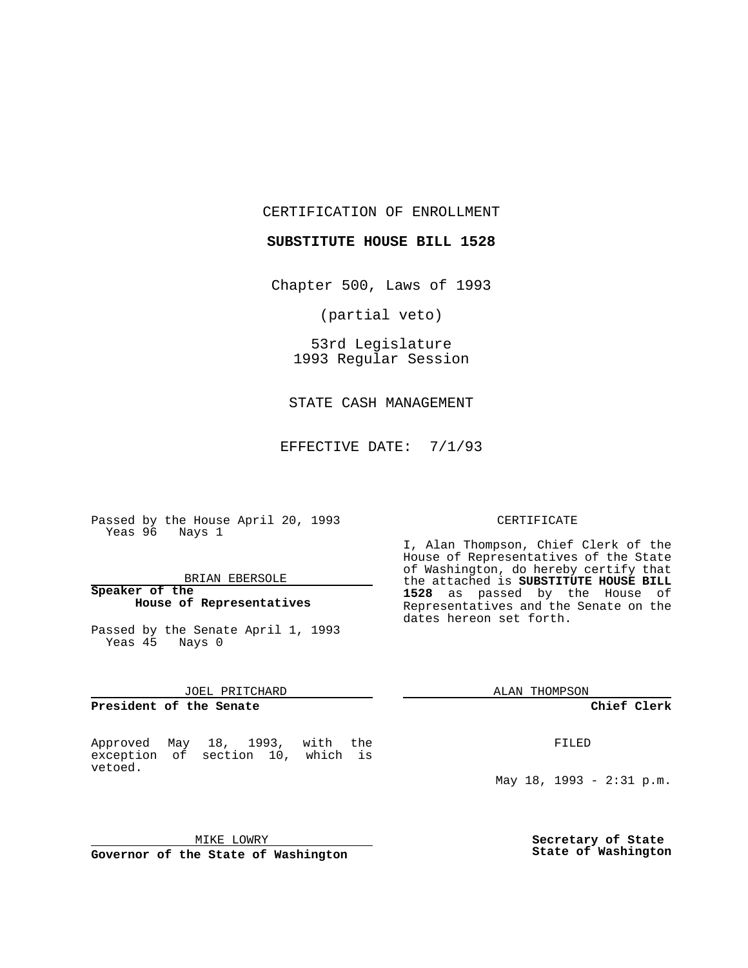CERTIFICATION OF ENROLLMENT

**SUBSTITUTE HOUSE BILL 1528**

Chapter 500, Laws of 1993

(partial veto)

53rd Legislature 1993 Regular Session

STATE CASH MANAGEMENT

EFFECTIVE DATE: 7/1/93

Passed by the House April 20, 1993 Yeas 96 Nays 1

#### BRIAN EBERSOLE

#### **Speaker of the House of Representatives**

Passed by the Senate April 1, 1993 Yeas 45 Nays 0

#### JOEL PRITCHARD

**President of the Senate**

#### Approved May 18, 1993, with the exception of section 10, which is vetoed.

# MIKE LOWRY

**Governor of the State of Washington**

#### CERTIFICATE

I, Alan Thompson, Chief Clerk of the House of Representatives of the State of Washington, do hereby certify that the attached is **SUBSTITUTE HOUSE BILL 1528** as passed by the House of Representatives and the Senate on the dates hereon set forth.

ALAN THOMPSON

**Chief Clerk**

FILED

May 18, 1993 - 2:31 p.m.

**Secretary of State State of Washington**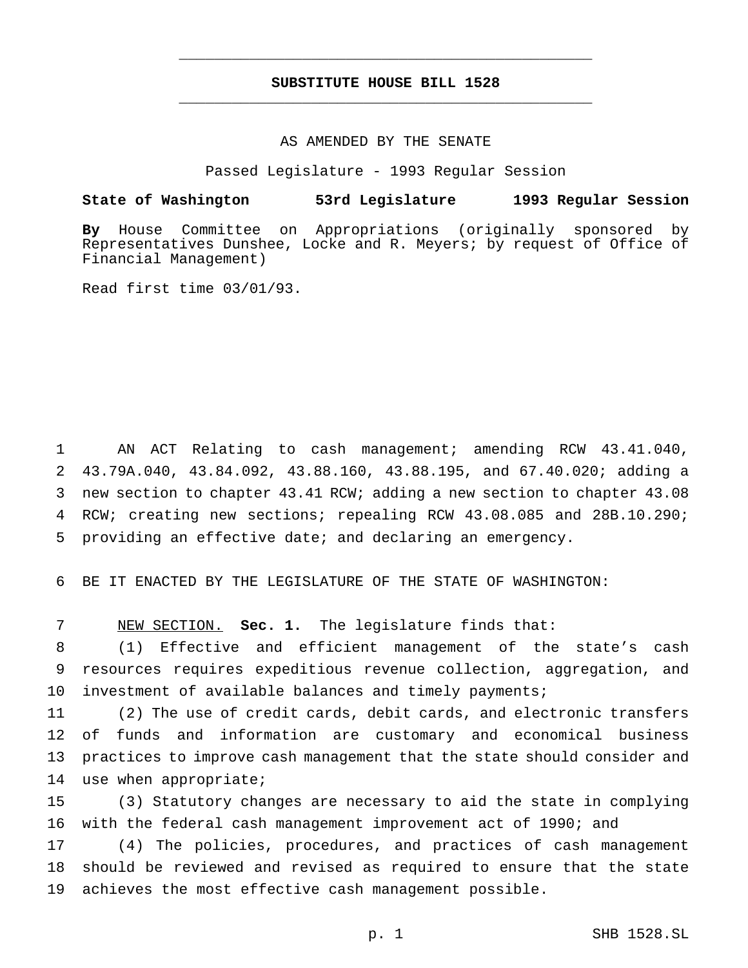### **SUBSTITUTE HOUSE BILL 1528** \_\_\_\_\_\_\_\_\_\_\_\_\_\_\_\_\_\_\_\_\_\_\_\_\_\_\_\_\_\_\_\_\_\_\_\_\_\_\_\_\_\_\_\_\_\_\_

\_\_\_\_\_\_\_\_\_\_\_\_\_\_\_\_\_\_\_\_\_\_\_\_\_\_\_\_\_\_\_\_\_\_\_\_\_\_\_\_\_\_\_\_\_\_\_

#### AS AMENDED BY THE SENATE

Passed Legislature - 1993 Regular Session

# **State of Washington 53rd Legislature 1993 Regular Session**

**By** House Committee on Appropriations (originally sponsored by Representatives Dunshee, Locke and R. Meyers; by request of Office of Financial Management)

Read first time 03/01/93.

 AN ACT Relating to cash management; amending RCW 43.41.040, 43.79A.040, 43.84.092, 43.88.160, 43.88.195, and 67.40.020; adding a new section to chapter 43.41 RCW; adding a new section to chapter 43.08 RCW; creating new sections; repealing RCW 43.08.085 and 28B.10.290; providing an effective date; and declaring an emergency.

BE IT ENACTED BY THE LEGISLATURE OF THE STATE OF WASHINGTON:

NEW SECTION. **Sec. 1.** The legislature finds that:

 (1) Effective and efficient management of the state's cash resources requires expeditious revenue collection, aggregation, and investment of available balances and timely payments;

 (2) The use of credit cards, debit cards, and electronic transfers of funds and information are customary and economical business practices to improve cash management that the state should consider and use when appropriate;

 (3) Statutory changes are necessary to aid the state in complying with the federal cash management improvement act of 1990; and

 (4) The policies, procedures, and practices of cash management should be reviewed and revised as required to ensure that the state achieves the most effective cash management possible.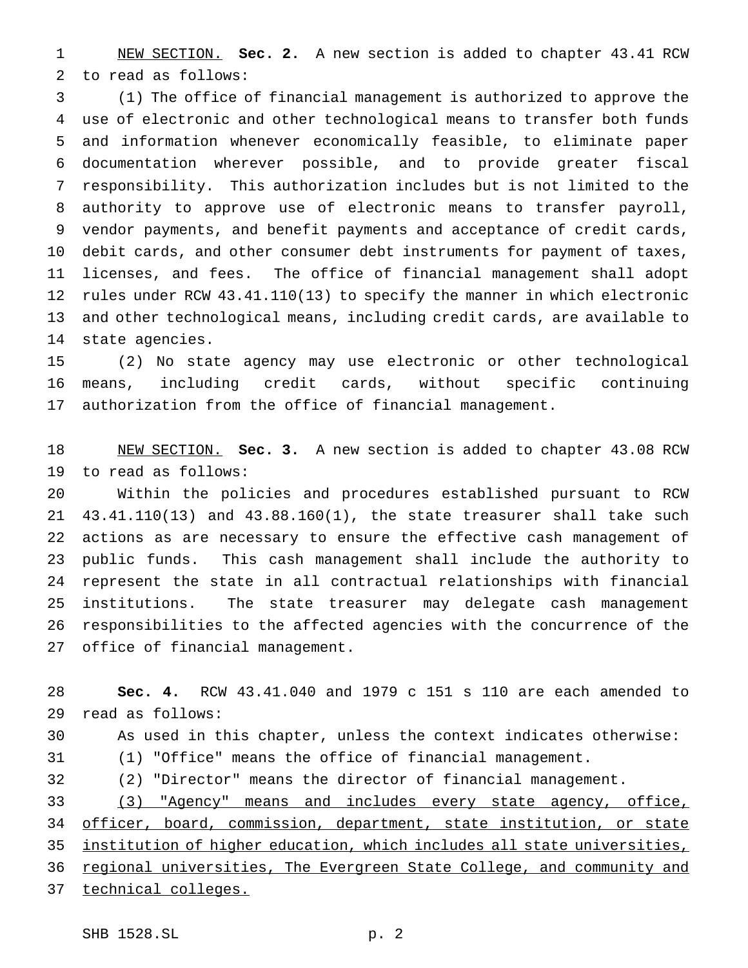NEW SECTION. **Sec. 2.** A new section is added to chapter 43.41 RCW to read as follows:

 (1) The office of financial management is authorized to approve the use of electronic and other technological means to transfer both funds and information whenever economically feasible, to eliminate paper documentation wherever possible, and to provide greater fiscal responsibility. This authorization includes but is not limited to the authority to approve use of electronic means to transfer payroll, vendor payments, and benefit payments and acceptance of credit cards, debit cards, and other consumer debt instruments for payment of taxes, licenses, and fees. The office of financial management shall adopt rules under RCW 43.41.110(13) to specify the manner in which electronic and other technological means, including credit cards, are available to state agencies.

 (2) No state agency may use electronic or other technological means, including credit cards, without specific continuing authorization from the office of financial management.

 NEW SECTION. **Sec. 3.** A new section is added to chapter 43.08 RCW to read as follows:

 Within the policies and procedures established pursuant to RCW 43.41.110(13) and 43.88.160(1), the state treasurer shall take such actions as are necessary to ensure the effective cash management of public funds. This cash management shall include the authority to represent the state in all contractual relationships with financial institutions. The state treasurer may delegate cash management responsibilities to the affected agencies with the concurrence of the office of financial management.

 **Sec. 4.** RCW 43.41.040 and 1979 c 151 s 110 are each amended to read as follows: As used in this chapter, unless the context indicates otherwise: (1) "Office" means the office of financial management. (2) "Director" means the director of financial management. (3) "Agency" means and includes every state agency, office, 34 officer, board, commission, department, state institution, or state institution of higher education, which includes all state universities, regional universities, The Evergreen State College, and community and technical colleges.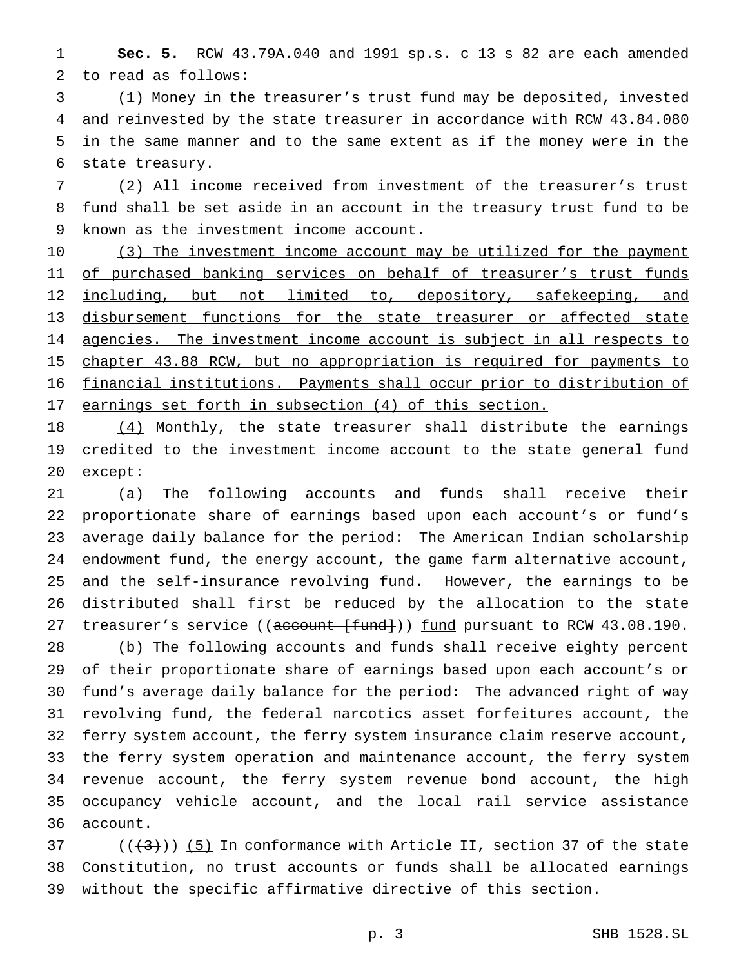**Sec. 5.** RCW 43.79A.040 and 1991 sp.s. c 13 s 82 are each amended to read as follows:

 (1) Money in the treasurer's trust fund may be deposited, invested and reinvested by the state treasurer in accordance with RCW 43.84.080 in the same manner and to the same extent as if the money were in the state treasury.

 (2) All income received from investment of the treasurer's trust fund shall be set aside in an account in the treasury trust fund to be known as the investment income account.

10 (3) The investment income account may be utilized for the payment 11 of purchased banking services on behalf of treasurer's trust funds 12 including, but not limited to, depository, safekeeping, and disbursement functions for the state treasurer or affected state 14 agencies. The investment income account is subject in all respects to chapter 43.88 RCW, but no appropriation is required for payments to financial institutions. Payments shall occur prior to distribution of earnings set forth in subsection (4) of this section.

18 (4) Monthly, the state treasurer shall distribute the earnings credited to the investment income account to the state general fund except:

 (a) The following accounts and funds shall receive their proportionate share of earnings based upon each account's or fund's average daily balance for the period: The American Indian scholarship endowment fund, the energy account, the game farm alternative account, and the self-insurance revolving fund. However, the earnings to be distributed shall first be reduced by the allocation to the state 27 treasurer's service ((account [fund])) fund pursuant to RCW 43.08.190.

 (b) The following accounts and funds shall receive eighty percent of their proportionate share of earnings based upon each account's or fund's average daily balance for the period: The advanced right of way revolving fund, the federal narcotics asset forfeitures account, the ferry system account, the ferry system insurance claim reserve account, the ferry system operation and maintenance account, the ferry system revenue account, the ferry system revenue bond account, the high occupancy vehicle account, and the local rail service assistance account.

37  $((+3))$  (5) In conformance with Article II, section 37 of the state Constitution, no trust accounts or funds shall be allocated earnings without the specific affirmative directive of this section.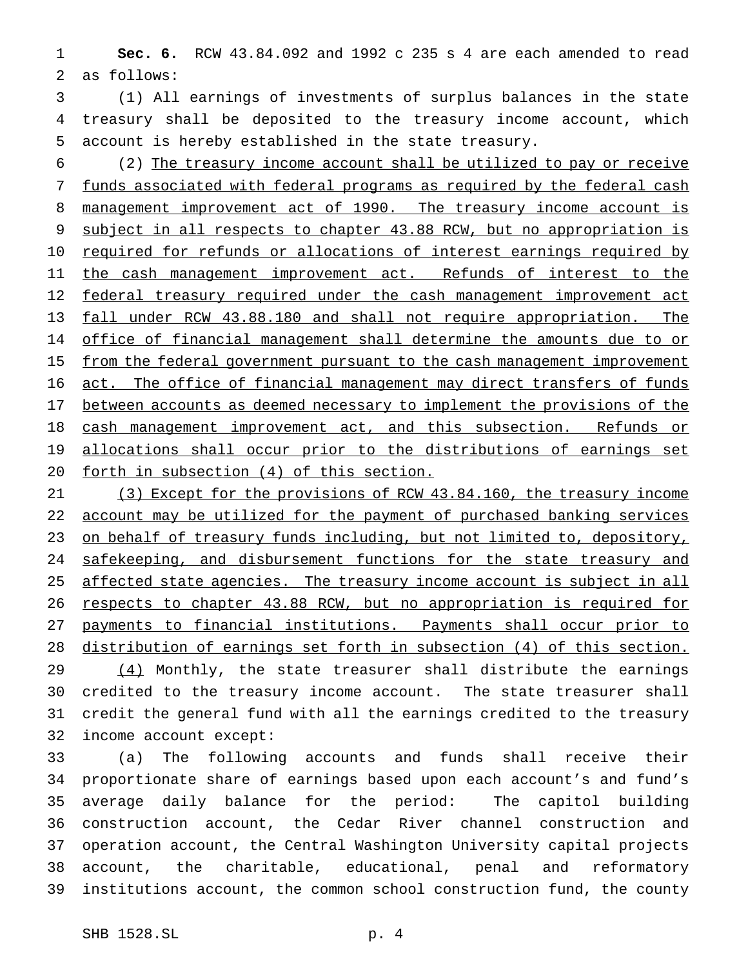**Sec. 6.** RCW 43.84.092 and 1992 c 235 s 4 are each amended to read as follows:

 (1) All earnings of investments of surplus balances in the state treasury shall be deposited to the treasury income account, which account is hereby established in the state treasury.

 (2) The treasury income account shall be utilized to pay or receive funds associated with federal programs as required by the federal cash 8 management improvement act of 1990. The treasury income account is subject in all respects to chapter 43.88 RCW, but no appropriation is 10 required for refunds or allocations of interest earnings required by 11 the cash management improvement act. Refunds of interest to the 12 federal treasury required under the cash management improvement act fall under RCW 43.88.180 and shall not require appropriation. The 14 office of financial management shall determine the amounts due to or 15 from the federal government pursuant to the cash management improvement act. The office of financial management may direct transfers of funds 17 between accounts as deemed necessary to implement the provisions of the 18 cash management improvement act, and this subsection. Refunds or 19 allocations shall occur prior to the distributions of earnings set forth in subsection (4) of this section.

21 (3) Except for the provisions of RCW 43.84.160, the treasury income account may be utilized for the payment of purchased banking services 23 on behalf of treasury funds including, but not limited to, depository, 24 safekeeping, and disbursement functions for the state treasury and 25 affected state agencies. The treasury income account is subject in all respects to chapter 43.88 RCW, but no appropriation is required for payments to financial institutions. Payments shall occur prior to distribution of earnings set forth in subsection (4) of this section. 29 (4) Monthly, the state treasurer shall distribute the earnings credited to the treasury income account. The state treasurer shall credit the general fund with all the earnings credited to the treasury income account except:

 (a) The following accounts and funds shall receive their proportionate share of earnings based upon each account's and fund's average daily balance for the period: The capitol building construction account, the Cedar River channel construction and operation account, the Central Washington University capital projects account, the charitable, educational, penal and reformatory institutions account, the common school construction fund, the county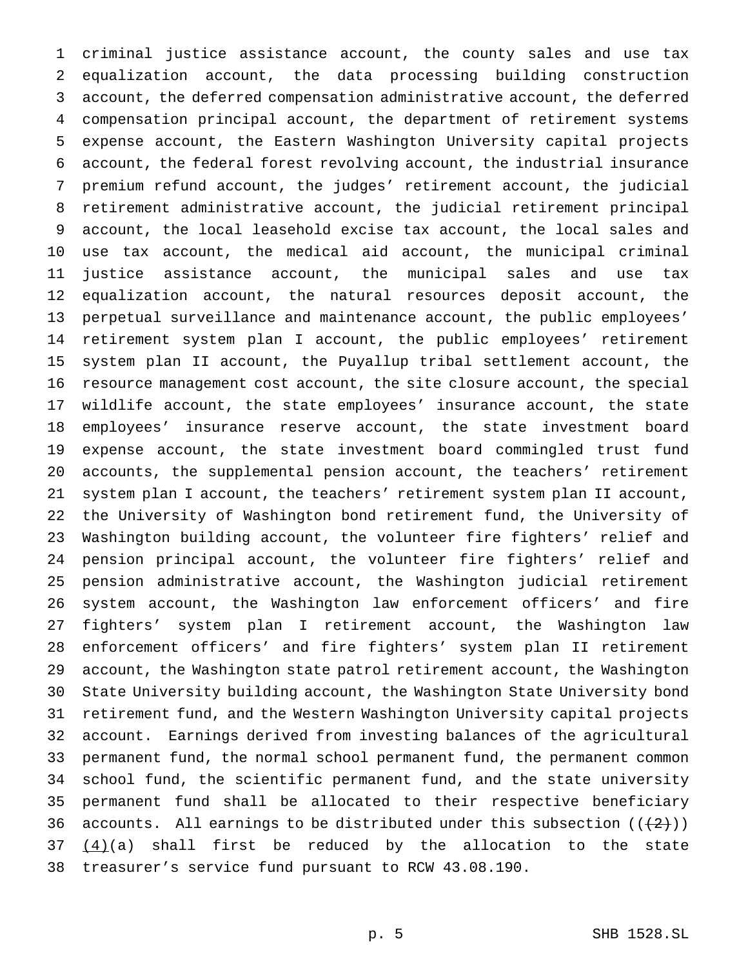criminal justice assistance account, the county sales and use tax equalization account, the data processing building construction account, the deferred compensation administrative account, the deferred compensation principal account, the department of retirement systems expense account, the Eastern Washington University capital projects account, the federal forest revolving account, the industrial insurance premium refund account, the judges' retirement account, the judicial retirement administrative account, the judicial retirement principal account, the local leasehold excise tax account, the local sales and use tax account, the medical aid account, the municipal criminal justice assistance account, the municipal sales and use tax equalization account, the natural resources deposit account, the perpetual surveillance and maintenance account, the public employees' retirement system plan I account, the public employees' retirement system plan II account, the Puyallup tribal settlement account, the resource management cost account, the site closure account, the special wildlife account, the state employees' insurance account, the state employees' insurance reserve account, the state investment board expense account, the state investment board commingled trust fund accounts, the supplemental pension account, the teachers' retirement system plan I account, the teachers' retirement system plan II account, the University of Washington bond retirement fund, the University of Washington building account, the volunteer fire fighters' relief and pension principal account, the volunteer fire fighters' relief and pension administrative account, the Washington judicial retirement system account, the Washington law enforcement officers' and fire fighters' system plan I retirement account, the Washington law enforcement officers' and fire fighters' system plan II retirement account, the Washington state patrol retirement account, the Washington State University building account, the Washington State University bond retirement fund, and the Western Washington University capital projects account. Earnings derived from investing balances of the agricultural permanent fund, the normal school permanent fund, the permanent common school fund, the scientific permanent fund, and the state university permanent fund shall be allocated to their respective beneficiary 36 accounts. All earnings to be distributed under this subsection  $((+2))$  $(4)(a)$  shall first be reduced by the allocation to the state treasurer's service fund pursuant to RCW 43.08.190.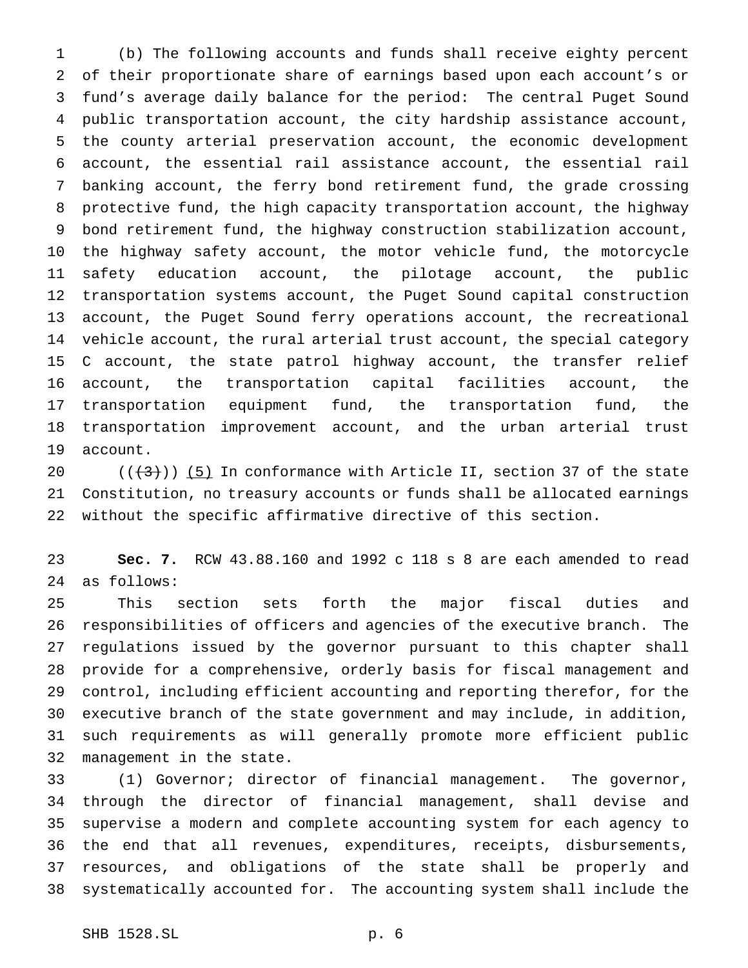(b) The following accounts and funds shall receive eighty percent of their proportionate share of earnings based upon each account's or fund's average daily balance for the period: The central Puget Sound public transportation account, the city hardship assistance account, the county arterial preservation account, the economic development account, the essential rail assistance account, the essential rail banking account, the ferry bond retirement fund, the grade crossing protective fund, the high capacity transportation account, the highway bond retirement fund, the highway construction stabilization account, the highway safety account, the motor vehicle fund, the motorcycle safety education account, the pilotage account, the public transportation systems account, the Puget Sound capital construction account, the Puget Sound ferry operations account, the recreational vehicle account, the rural arterial trust account, the special category C account, the state patrol highway account, the transfer relief account, the transportation capital facilities account, the transportation equipment fund, the transportation fund, the transportation improvement account, and the urban arterial trust account.

 $((+3)^{n})$  (5) In conformance with Article II, section 37 of the state Constitution, no treasury accounts or funds shall be allocated earnings without the specific affirmative directive of this section.

 **Sec. 7.** RCW 43.88.160 and 1992 c 118 s 8 are each amended to read as follows:

 This section sets forth the major fiscal duties and responsibilities of officers and agencies of the executive branch. The regulations issued by the governor pursuant to this chapter shall provide for a comprehensive, orderly basis for fiscal management and control, including efficient accounting and reporting therefor, for the executive branch of the state government and may include, in addition, such requirements as will generally promote more efficient public management in the state.

 (1) Governor; director of financial management. The governor, through the director of financial management, shall devise and supervise a modern and complete accounting system for each agency to the end that all revenues, expenditures, receipts, disbursements, resources, and obligations of the state shall be properly and systematically accounted for. The accounting system shall include the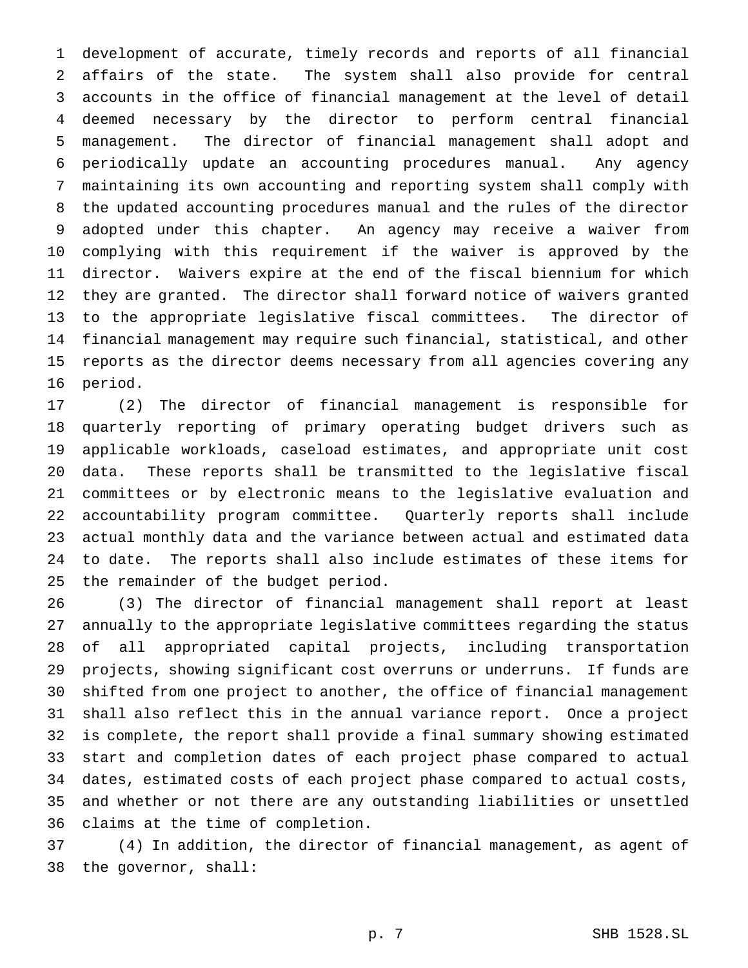development of accurate, timely records and reports of all financial affairs of the state. The system shall also provide for central accounts in the office of financial management at the level of detail deemed necessary by the director to perform central financial management. The director of financial management shall adopt and periodically update an accounting procedures manual. Any agency maintaining its own accounting and reporting system shall comply with the updated accounting procedures manual and the rules of the director adopted under this chapter. An agency may receive a waiver from complying with this requirement if the waiver is approved by the director. Waivers expire at the end of the fiscal biennium for which they are granted. The director shall forward notice of waivers granted to the appropriate legislative fiscal committees. The director of financial management may require such financial, statistical, and other reports as the director deems necessary from all agencies covering any period.

 (2) The director of financial management is responsible for quarterly reporting of primary operating budget drivers such as applicable workloads, caseload estimates, and appropriate unit cost data. These reports shall be transmitted to the legislative fiscal committees or by electronic means to the legislative evaluation and accountability program committee. Quarterly reports shall include actual monthly data and the variance between actual and estimated data to date. The reports shall also include estimates of these items for the remainder of the budget period.

 (3) The director of financial management shall report at least annually to the appropriate legislative committees regarding the status of all appropriated capital projects, including transportation projects, showing significant cost overruns or underruns. If funds are shifted from one project to another, the office of financial management shall also reflect this in the annual variance report. Once a project is complete, the report shall provide a final summary showing estimated start and completion dates of each project phase compared to actual dates, estimated costs of each project phase compared to actual costs, and whether or not there are any outstanding liabilities or unsettled claims at the time of completion.

 (4) In addition, the director of financial management, as agent of the governor, shall: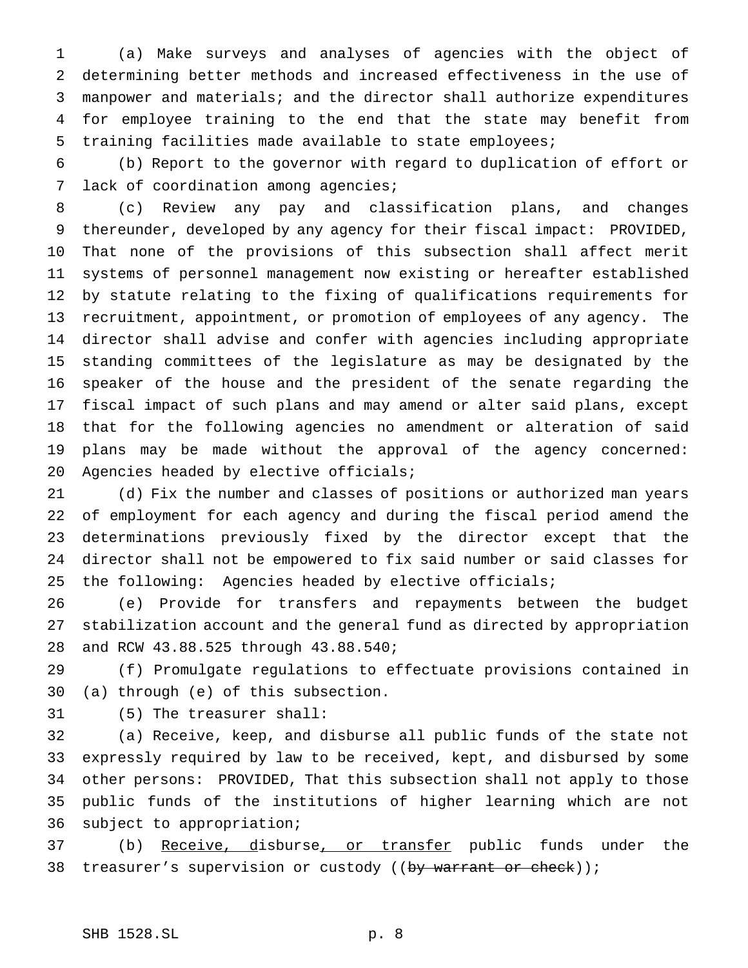(a) Make surveys and analyses of agencies with the object of determining better methods and increased effectiveness in the use of manpower and materials; and the director shall authorize expenditures for employee training to the end that the state may benefit from training facilities made available to state employees;

 (b) Report to the governor with regard to duplication of effort or lack of coordination among agencies;

 (c) Review any pay and classification plans, and changes thereunder, developed by any agency for their fiscal impact: PROVIDED, That none of the provisions of this subsection shall affect merit systems of personnel management now existing or hereafter established by statute relating to the fixing of qualifications requirements for recruitment, appointment, or promotion of employees of any agency. The director shall advise and confer with agencies including appropriate standing committees of the legislature as may be designated by the speaker of the house and the president of the senate regarding the fiscal impact of such plans and may amend or alter said plans, except that for the following agencies no amendment or alteration of said plans may be made without the approval of the agency concerned: Agencies headed by elective officials;

 (d) Fix the number and classes of positions or authorized man years of employment for each agency and during the fiscal period amend the determinations previously fixed by the director except that the director shall not be empowered to fix said number or said classes for the following: Agencies headed by elective officials;

 (e) Provide for transfers and repayments between the budget stabilization account and the general fund as directed by appropriation and RCW 43.88.525 through 43.88.540;

 (f) Promulgate regulations to effectuate provisions contained in (a) through (e) of this subsection.

(5) The treasurer shall:

 (a) Receive, keep, and disburse all public funds of the state not expressly required by law to be received, kept, and disbursed by some other persons: PROVIDED, That this subsection shall not apply to those public funds of the institutions of higher learning which are not subject to appropriation;

37 (b) Receive, disburse, or transfer public funds under the 38 treasurer's supervision or custody ((by warrant or check));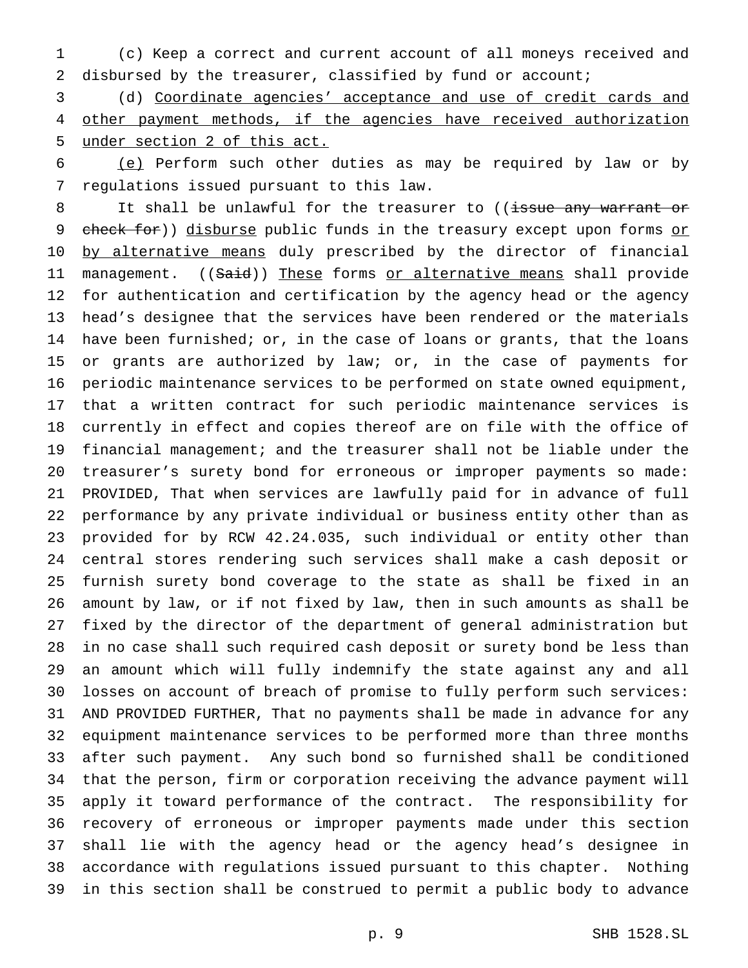(c) Keep a correct and current account of all moneys received and disbursed by the treasurer, classified by fund or account;

 (d) Coordinate agencies' acceptance and use of credit cards and 4 other payment methods, if the agencies have received authorization under section 2 of this act.

 (e) Perform such other duties as may be required by law or by regulations issued pursuant to this law.

8 It shall be unlawful for the treasurer to ((issue any warrant or 9 check for)) disburse public funds in the treasury except upon forms or 10 by alternative means duly prescribed by the director of financial 11 management. ((Said)) These forms or alternative means shall provide for authentication and certification by the agency head or the agency head's designee that the services have been rendered or the materials have been furnished; or, in the case of loans or grants, that the loans 15 or grants are authorized by law; or, in the case of payments for periodic maintenance services to be performed on state owned equipment, that a written contract for such periodic maintenance services is currently in effect and copies thereof are on file with the office of financial management; and the treasurer shall not be liable under the treasurer's surety bond for erroneous or improper payments so made: PROVIDED, That when services are lawfully paid for in advance of full performance by any private individual or business entity other than as provided for by RCW 42.24.035, such individual or entity other than central stores rendering such services shall make a cash deposit or furnish surety bond coverage to the state as shall be fixed in an amount by law, or if not fixed by law, then in such amounts as shall be fixed by the director of the department of general administration but in no case shall such required cash deposit or surety bond be less than an amount which will fully indemnify the state against any and all losses on account of breach of promise to fully perform such services: AND PROVIDED FURTHER, That no payments shall be made in advance for any equipment maintenance services to be performed more than three months after such payment. Any such bond so furnished shall be conditioned that the person, firm or corporation receiving the advance payment will apply it toward performance of the contract. The responsibility for recovery of erroneous or improper payments made under this section shall lie with the agency head or the agency head's designee in accordance with regulations issued pursuant to this chapter. Nothing in this section shall be construed to permit a public body to advance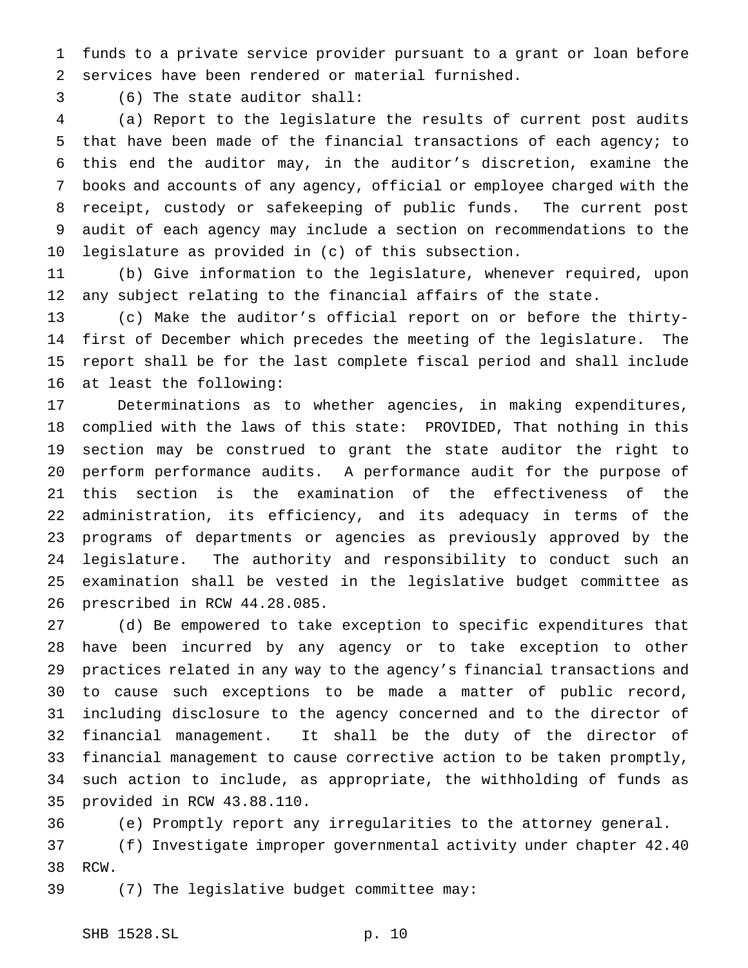funds to a private service provider pursuant to a grant or loan before services have been rendered or material furnished.

(6) The state auditor shall:

 (a) Report to the legislature the results of current post audits that have been made of the financial transactions of each agency; to this end the auditor may, in the auditor's discretion, examine the books and accounts of any agency, official or employee charged with the receipt, custody or safekeeping of public funds. The current post audit of each agency may include a section on recommendations to the legislature as provided in (c) of this subsection.

 (b) Give information to the legislature, whenever required, upon any subject relating to the financial affairs of the state.

 (c) Make the auditor's official report on or before the thirty- first of December which precedes the meeting of the legislature. The report shall be for the last complete fiscal period and shall include at least the following:

 Determinations as to whether agencies, in making expenditures, complied with the laws of this state: PROVIDED, That nothing in this section may be construed to grant the state auditor the right to perform performance audits. A performance audit for the purpose of this section is the examination of the effectiveness of the administration, its efficiency, and its adequacy in terms of the programs of departments or agencies as previously approved by the legislature. The authority and responsibility to conduct such an examination shall be vested in the legislative budget committee as prescribed in RCW 44.28.085.

 (d) Be empowered to take exception to specific expenditures that have been incurred by any agency or to take exception to other practices related in any way to the agency's financial transactions and to cause such exceptions to be made a matter of public record, including disclosure to the agency concerned and to the director of financial management. It shall be the duty of the director of financial management to cause corrective action to be taken promptly, such action to include, as appropriate, the withholding of funds as provided in RCW 43.88.110.

(e) Promptly report any irregularities to the attorney general.

 (f) Investigate improper governmental activity under chapter 42.40 RCW.

(7) The legislative budget committee may: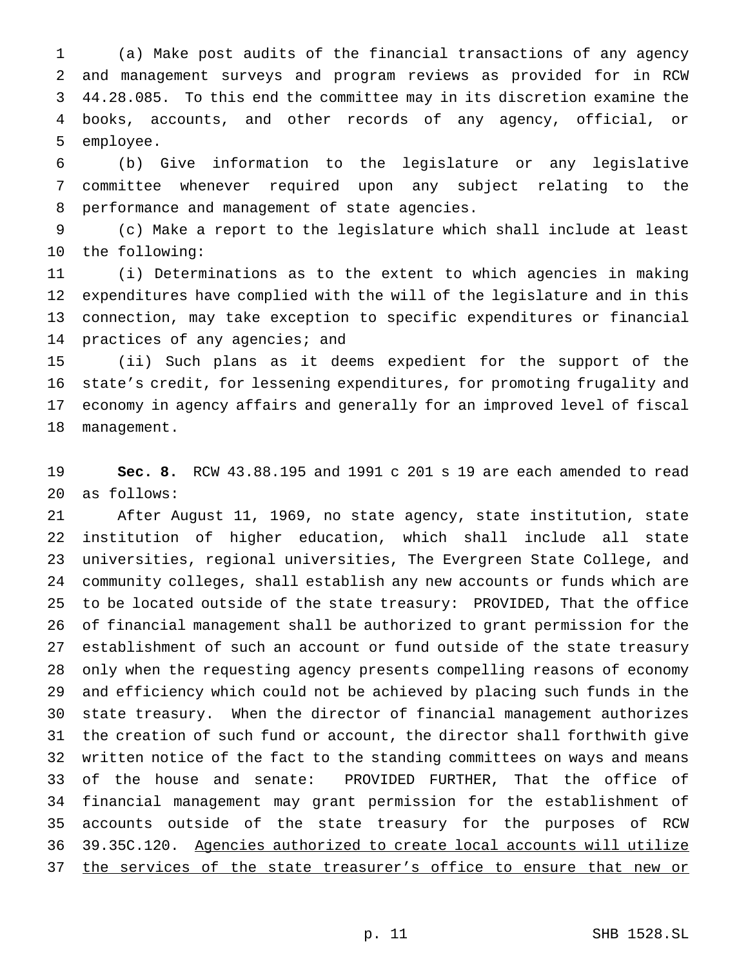(a) Make post audits of the financial transactions of any agency and management surveys and program reviews as provided for in RCW 44.28.085. To this end the committee may in its discretion examine the books, accounts, and other records of any agency, official, or employee.

 (b) Give information to the legislature or any legislative committee whenever required upon any subject relating to the performance and management of state agencies.

 (c) Make a report to the legislature which shall include at least the following:

 (i) Determinations as to the extent to which agencies in making expenditures have complied with the will of the legislature and in this connection, may take exception to specific expenditures or financial 14 practices of any agencies; and

 (ii) Such plans as it deems expedient for the support of the state's credit, for lessening expenditures, for promoting frugality and economy in agency affairs and generally for an improved level of fiscal management.

 **Sec. 8.** RCW 43.88.195 and 1991 c 201 s 19 are each amended to read as follows:

 After August 11, 1969, no state agency, state institution, state institution of higher education, which shall include all state universities, regional universities, The Evergreen State College, and community colleges, shall establish any new accounts or funds which are to be located outside of the state treasury: PROVIDED, That the office of financial management shall be authorized to grant permission for the establishment of such an account or fund outside of the state treasury only when the requesting agency presents compelling reasons of economy and efficiency which could not be achieved by placing such funds in the state treasury. When the director of financial management authorizes the creation of such fund or account, the director shall forthwith give written notice of the fact to the standing committees on ways and means of the house and senate: PROVIDED FURTHER, That the office of financial management may grant permission for the establishment of accounts outside of the state treasury for the purposes of RCW 39.35C.120. Agencies authorized to create local accounts will utilize 37 the services of the state treasurer's office to ensure that new or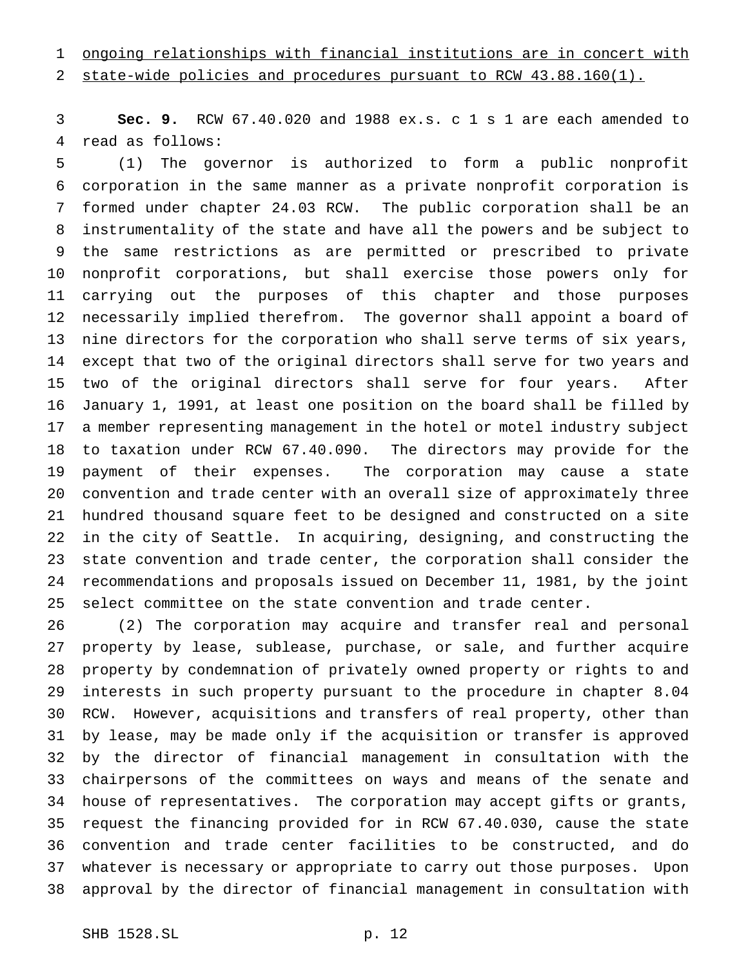# ongoing relationships with financial institutions are in concert with

state-wide policies and procedures pursuant to RCW 43.88.160(1).

 **Sec. 9.** RCW 67.40.020 and 1988 ex.s. c 1 s 1 are each amended to read as follows:

 (1) The governor is authorized to form a public nonprofit corporation in the same manner as a private nonprofit corporation is formed under chapter 24.03 RCW. The public corporation shall be an instrumentality of the state and have all the powers and be subject to the same restrictions as are permitted or prescribed to private nonprofit corporations, but shall exercise those powers only for carrying out the purposes of this chapter and those purposes necessarily implied therefrom. The governor shall appoint a board of nine directors for the corporation who shall serve terms of six years, except that two of the original directors shall serve for two years and two of the original directors shall serve for four years. After January 1, 1991, at least one position on the board shall be filled by a member representing management in the hotel or motel industry subject to taxation under RCW 67.40.090. The directors may provide for the payment of their expenses. The corporation may cause a state convention and trade center with an overall size of approximately three hundred thousand square feet to be designed and constructed on a site in the city of Seattle. In acquiring, designing, and constructing the state convention and trade center, the corporation shall consider the recommendations and proposals issued on December 11, 1981, by the joint select committee on the state convention and trade center.

 (2) The corporation may acquire and transfer real and personal property by lease, sublease, purchase, or sale, and further acquire property by condemnation of privately owned property or rights to and interests in such property pursuant to the procedure in chapter 8.04 RCW. However, acquisitions and transfers of real property, other than by lease, may be made only if the acquisition or transfer is approved by the director of financial management in consultation with the chairpersons of the committees on ways and means of the senate and house of representatives. The corporation may accept gifts or grants, request the financing provided for in RCW 67.40.030, cause the state convention and trade center facilities to be constructed, and do whatever is necessary or appropriate to carry out those purposes. Upon approval by the director of financial management in consultation with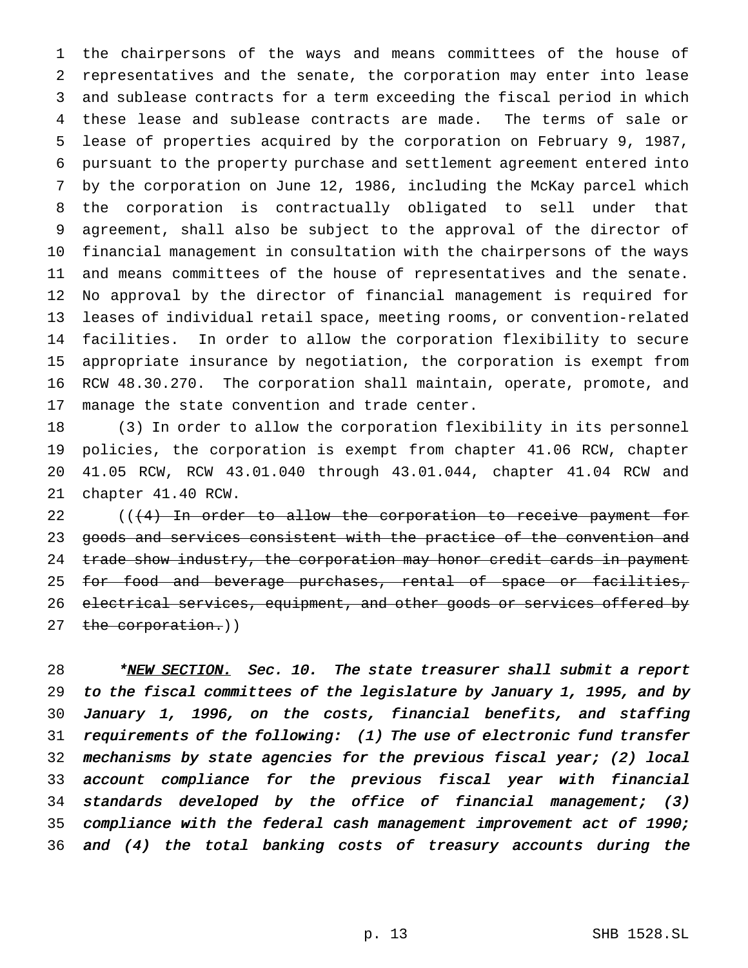the chairpersons of the ways and means committees of the house of representatives and the senate, the corporation may enter into lease and sublease contracts for a term exceeding the fiscal period in which these lease and sublease contracts are made. The terms of sale or lease of properties acquired by the corporation on February 9, 1987, pursuant to the property purchase and settlement agreement entered into by the corporation on June 12, 1986, including the McKay parcel which the corporation is contractually obligated to sell under that agreement, shall also be subject to the approval of the director of financial management in consultation with the chairpersons of the ways and means committees of the house of representatives and the senate. No approval by the director of financial management is required for leases of individual retail space, meeting rooms, or convention-related facilities. In order to allow the corporation flexibility to secure appropriate insurance by negotiation, the corporation is exempt from RCW 48.30.270. The corporation shall maintain, operate, promote, and manage the state convention and trade center.

 (3) In order to allow the corporation flexibility in its personnel policies, the corporation is exempt from chapter 41.06 RCW, chapter 41.05 RCW, RCW 43.01.040 through 43.01.044, chapter 41.04 RCW and chapter 41.40 RCW.

22 ((<del>(4) In order to allow the corporation to receive payment for</del> 23 goods and services consistent with the practice of the convention and 24 trade show industry, the corporation may honor credit cards in payment 25 for food and beverage purchases, rental of space or facilities, 26 electrical services, equipment, and other goods or services offered by 27 the corporation.))

28 \*NEW SECTION. Sec. 10. The state treasurer shall submit a report to the fiscal committees of the legislature by January 1, 1995, and by January 1, 1996, on the costs, financial benefits, and staffing requirements of the following: (1) The use of electronic fund transfer mechanisms by state agencies for the previous fiscal year; (2) local account compliance for the previous fiscal year with financial standards developed by the office of financial management; (3) compliance with the federal cash management improvement act of 1990; and (4) the total banking costs of treasury accounts during the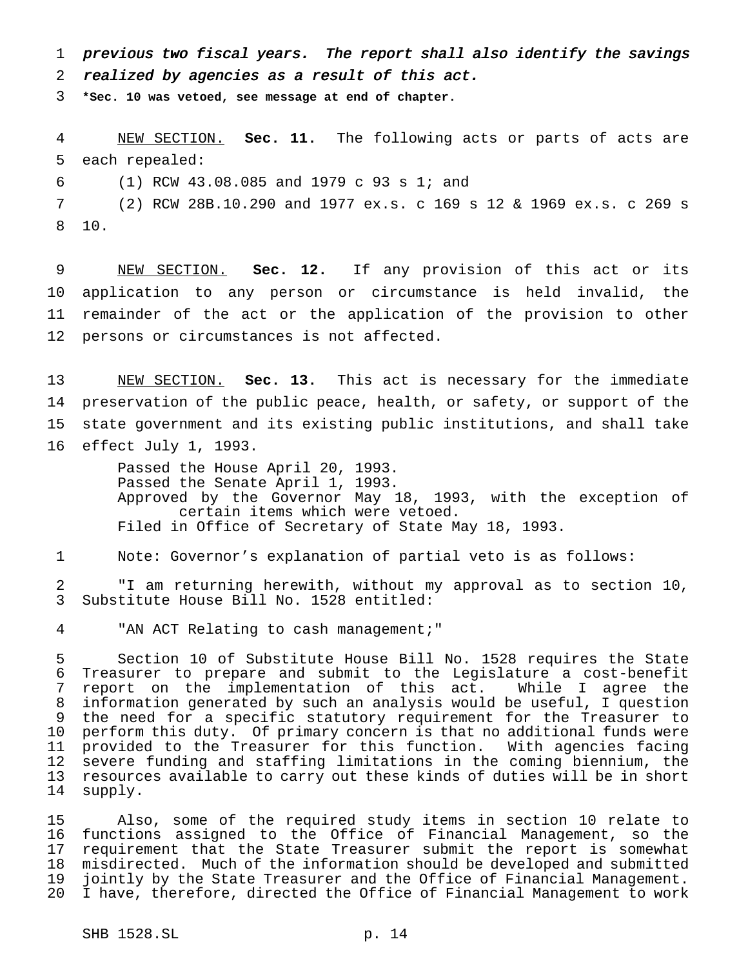previous two fiscal years. The report shall also identify the savings realized by agencies as <sup>a</sup> result of this act.

**\*Sec. 10 was vetoed, see message at end of chapter.**

 NEW SECTION. **Sec. 11.** The following acts or parts of acts are each repealed:

(1) RCW 43.08.085 and 1979 c 93 s 1; and

 (2) RCW 28B.10.290 and 1977 ex.s. c 169 s 12 & 1969 ex.s. c 269 s 10.

 NEW SECTION. **Sec. 12.** If any provision of this act or its application to any person or circumstance is held invalid, the remainder of the act or the application of the provision to other persons or circumstances is not affected.

 NEW SECTION. **Sec. 13.** This act is necessary for the immediate preservation of the public peace, health, or safety, or support of the state government and its existing public institutions, and shall take effect July 1, 1993.

> Passed the House April 20, 1993. Passed the Senate April 1, 1993. Approved by the Governor May 18, 1993, with the exception of certain items which were vetoed. Filed in Office of Secretary of State May 18, 1993.

Note: Governor's explanation of partial veto is as follows:

 "I am returning herewith, without my approval as to section 10, Substitute House Bill No. 1528 entitled:

"AN ACT Relating to cash management;"

 Section 10 of Substitute House Bill No. 1528 requires the State Treasurer to prepare and submit to the Legislature a cost-benefit report on the implementation of this act. While I agree the information generated by such an analysis would be useful, I question the need for a specific statutory requirement for the Treasurer to perform this duty. Of primary concern is that no additional funds were provided to the Treasurer for this function. With agencies facing severe funding and staffing limitations in the coming biennium, the resources available to carry out these kinds of duties will be in short supply.

 Also, some of the required study items in section 10 relate to functions assigned to the Office of Financial Management, so the requirement that the State Treasurer submit the report is somewhat misdirected. Much of the information should be developed and submitted jointly by the State Treasurer and the Office of Financial Management. I have, therefore, directed the Office of Financial Management to work